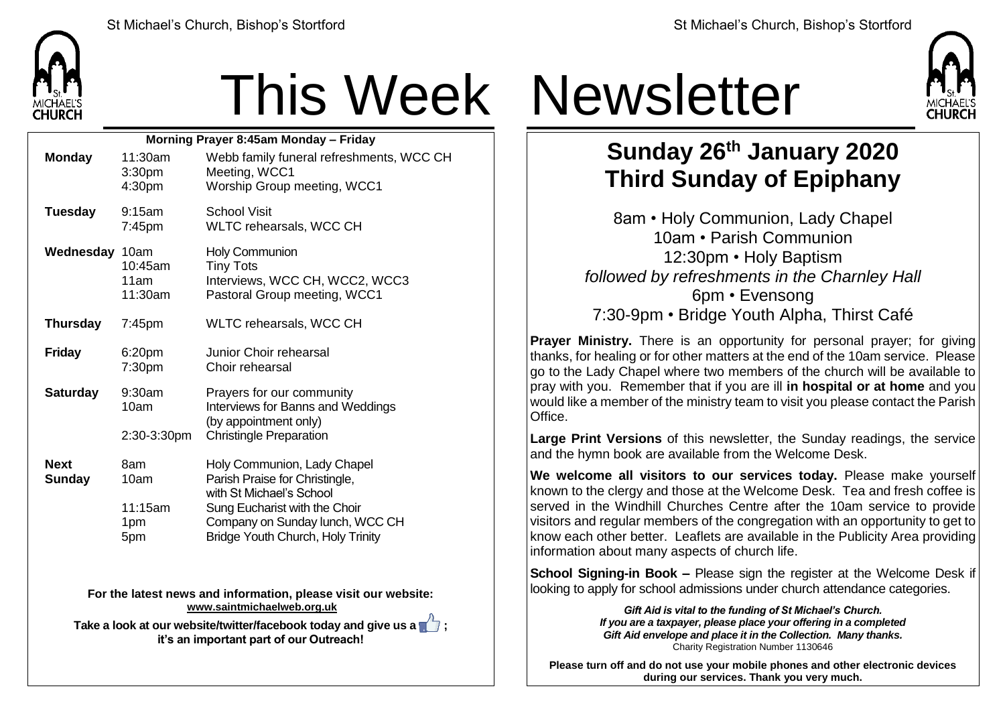

## This Week Newsletter

| Morning Prayer 8:45am Monday - Friday |                                         |                                                                                                                                                                                                    |  |  |
|---------------------------------------|-----------------------------------------|----------------------------------------------------------------------------------------------------------------------------------------------------------------------------------------------------|--|--|
| <b>Monday</b>                         | 11:30am<br>3:30 <sub>pm</sub><br>4:30pm | Webb family funeral refreshments, WCC CH<br>Meeting, WCC1<br>Worship Group meeting, WCC1                                                                                                           |  |  |
| <b>Tuesday</b>                        | $9:15$ am<br>$7:45$ pm                  | School Visit<br>WLTC rehearsals, WCC CH                                                                                                                                                            |  |  |
| Wednesday 10am                        | 10:45am<br>11am<br>11:30am              | <b>Holy Communion</b><br><b>Tiny Tots</b><br>Interviews, WCC CH, WCC2, WCC3<br>Pastoral Group meeting, WCC1                                                                                        |  |  |
| <b>Thursday</b>                       | $7:45$ pm                               | WLTC rehearsals, WCC CH                                                                                                                                                                            |  |  |
| <b>Friday</b>                         | 6:20pm<br>7:30pm                        | Junior Choir rehearsal<br>Choir rehearsal                                                                                                                                                          |  |  |
| <b>Saturday</b>                       | 9:30am<br>10am<br>2:30-3:30pm           | Prayers for our community<br>Interviews for Banns and Weddings<br>(by appointment only)<br><b>Christingle Preparation</b>                                                                          |  |  |
| <b>Next</b><br><b>Sunday</b>          | 8am<br>10am<br>11:15am<br>1pm<br>5pm    | Holy Communion, Lady Chapel<br>Parish Praise for Christingle,<br>with St Michael's School<br>Sung Eucharist with the Choir<br>Company on Sunday lunch, WCC CH<br>Bridge Youth Church, Holy Trinity |  |  |

**For the latest news and information, please visit our website: [www.saintmichaelweb.org.uk](http://www.saintmichaelweb.org.uk/)**

**Take a look at our website/twitter/facebook today and give us a**  $\sqrt{7}$ **; it's an important part of our Outreach!**



## **Sunday 26th January 2020 Third Sunday of Epiphany**

8am • Holy Communion, Lady Chapel 10am • Parish Communion 12:30pm • Holy Baptism *followed by refreshments in the Charnley Hall* 6pm • Evensong 7:30-9pm • Bridge Youth Alpha, Thirst Café

**Prayer Ministry.** There is an opportunity for personal prayer; for giving thanks, for healing or for other matters at the end of the 10am service. Please go to the Lady Chapel where two members of the church will be available to pray with you. Remember that if you are ill **in hospital or at home** and you would like a member of the ministry team to visit you please contact the Parish Office.

**Large Print Versions** of this newsletter, the Sunday readings, the service and the hymn book are available from the Welcome Desk.

**We welcome all visitors to our services today.** Please make yourself known to the clergy and those at the Welcome Desk. Tea and fresh coffee is served in the Windhill Churches Centre after the 10am service to provide visitors and regular members of the congregation with an opportunity to get to know each other better. Leaflets are available in the Publicity Area providing information about many aspects of church life.

**School Signing-in Book –** Please sign the register at the Welcome Desk if looking to apply for school admissions under church attendance categories.

> *Gift Aid is vital to the funding of St Michael's Church. If you are a taxpayer, please place your offering in a completed Gift Aid envelope and place it in the Collection. Many thanks.* Charity Registration Number 1130646

**Please turn off and do not use your mobile phones and other electronic devices during our services. Thank you very much.**